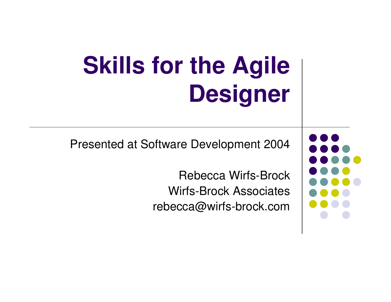# **Skills for the Agile Designer**

Presented at Software Development 2004

Rebecca Wirfs-Brock Wirfs-Brock Associates rebecca@wirfs-brock.com

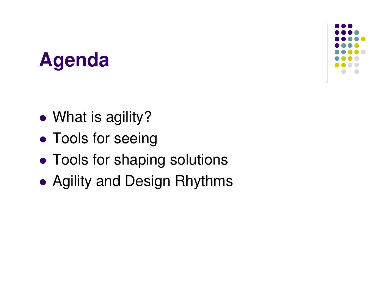## **Agenda**

- $\bullet$ • What is agility?
- $\bullet$ **• Tools for seeing**
- $\bullet$ Tools for shaping solutions
- $\bullet$ Agility and Design Rhythms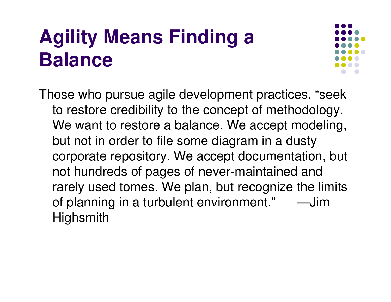## **Agility Means Finding <sup>a</sup> Balance**



Those who pursue agile development practices, "seek to restore credibility to the concept of methodology. We want to restore a balance. We accept modeling, but not in order to file some diagram in <sup>a</sup> dusty corporate repository. We accept documentation, but not hundreds of pages of never-maintained and rarely used tomes. We plan, but recognize the limits of planning in a turbulent environment." — Jim **Highsmith**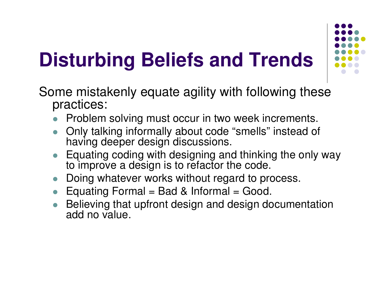#### **Disturbing Beliefs and Trends iii**



Some mistakenly equate agility with following these practices:

- $\bullet$ Problem solving must occur in two week increments.
- $\bullet$ Only talking informally about code " s m ells " instead of having deeper design discussions.
- Equating coding with designing and thinking the only way to improve a design is to refactor the code.
- $\bullet$ Doing whatever works without regard to process.
- $\bullet$ Equating Formal = Bad & Informal = Good.
- $\bullet$ Believing that upfront design and design documentation add no value.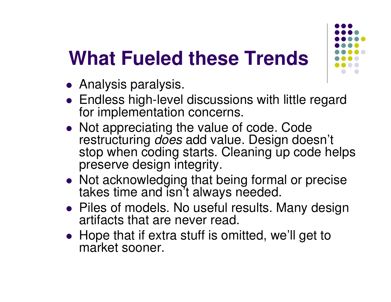## What Fueled these Trends

- Analysis paralysis.
- Endless high-level discussions with little regard for implementation concerns.
- Not appreciating the value of code. Code restructuring *does* add value. Design doesn't stop when coding starts. Cleaning up code helps preserve design integrity.
- Not acknowledging that being formal or precise takes time and isn't always needed.
- Piles of models. No useful results. Many design artifacts that are never read.
- Hope that if extra stuff is omitted, we'll get to market sooner.

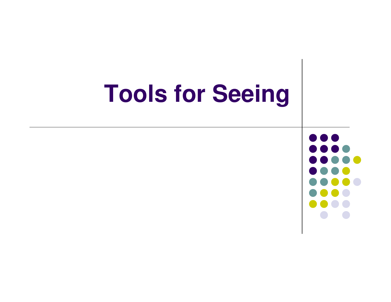# **Tools for Seeing**

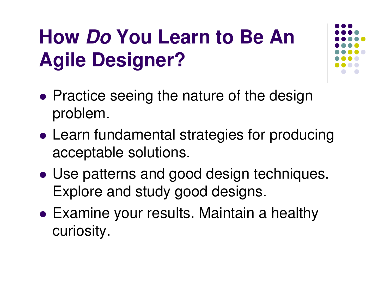## **How** *Do* **You Learn to Be An Agile Designer?**

- $\bullet$ • Practice seeing the nature of the design problem.
- $\bullet$  Learn fundamental strategies for producing acceptable solutions.
- $\bullet$  Use patterns and good design techniques. Explore and study good designs.
- $\bullet$  Examine your results. Maintain <sup>a</sup> healthy curiosity.

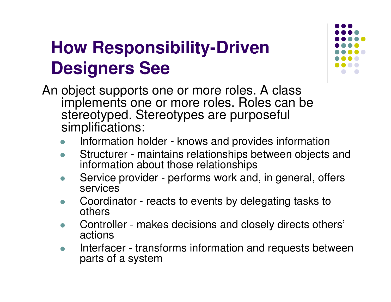#### **How Responsibilityiii-Driven iDesigners See i**



An object supports one or more roles. A class implements one or more roles. Roles can be stereotyped. Stereotypes are purposeful sim plific a tio n s:

- $\bullet$ • Information holder - knows and provides information
- $\bullet$ Structurer - maintains relationships between objects and information about those relationships
- $\bullet$ Service provider - performs work and, in general, offers services
- $\bullet$ Coordinator - reacts to events by delegating tasks to ot hers
- $\bullet$ Controller - makes decisions and closely directs others' actions
- $\bullet$ • Interfacer - transforms information and requests between parts of a system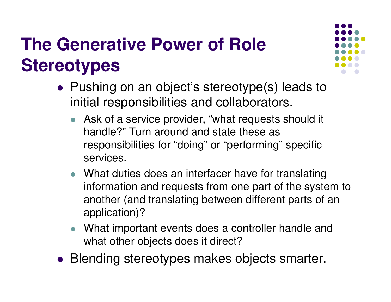### **The Generative Power of Role Stereotypes**

- Pushing on an object's stereotype(s) leads to initial responsibilities and collaborators.
	- Ask of <sup>a</sup> service provider, "what requests should it handle?" Turn around and state these as responsibilities for "doing" or "performing" specific services.
	- What duties does an interfacer have for translating information and requests from one part of the system to another (and translating between different parts of an application)?
	- $\bullet$  What important events does <sup>a</sup> controller handle and what other objects does it direct?
- Blending stereotypes makes objects smarter.

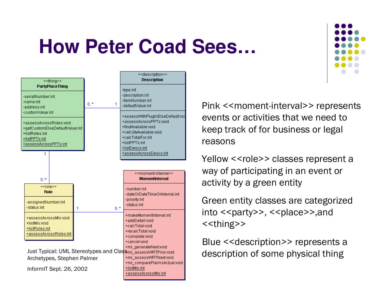## **How Peter Coad Sees...**



InformIT Sept. 26, 2002

+mi\_assessWRTNext:void +mi\_comparePlanVsActual:void +listMls:int +assessAcrossMis:int

Pink << moment-interval >> represents events or activities that we need to keep track of for business or legal reasons

Yellow <<role>> classes represent a way of participating in an event or activity by a green entity

Green entity classes are categorized into << party>>, << place >>, and <<thing>>

Blue << description >> represents a description of some physical thing

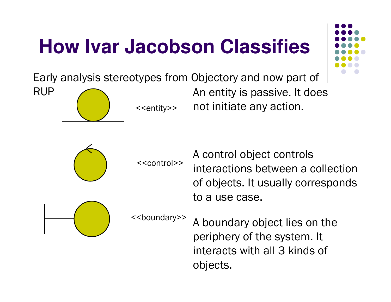## **How Ivar Jacobson Classifies**



Early analysis stereotypes from Objectory and now part of

**RUP** 



<<entity>> -

An entity is passive. It does not initiate any action. --



<<control>>

A control object controls |<br>|<br>| nteractions between a collection |<br>|<br>| of objects. It usually corresponds to a use case.



<<boundary>>

A boundary object lies on the periphery of the system. It nteracts with all 3 kinds of objects.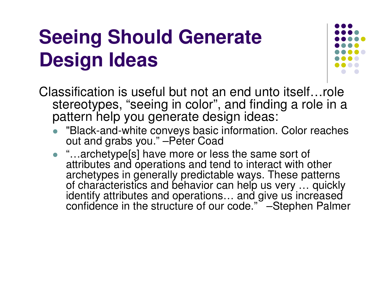### **Seeing Should Generate iDesign Ideas i**



Classification is useful but not an end unto itself…role stereotypes, "seeing in color", and finding a role in a pattern help you generate design ideas:

- $\bullet$ ""Black-and-white conveys basic information. Color reaches out and grabs you." –Peter Coad
- $\bullet$ " "...archetype[s] have more or less the same sort of attributes and operations and tend to interact with other archetypes in generally predictable ways. These patterns of characteristics and behavior can help us very ... quickly identify attributes and operations... and give us increased confidence in the structure of our code." –Stephen Palmer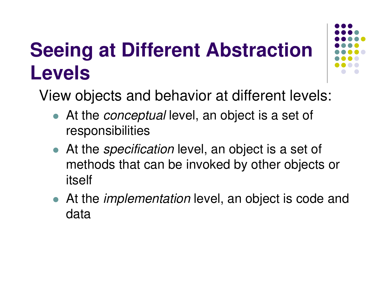# **Seeing at Different Abstraction Levels**



View objects and behavior at different levels:

- At the *conceptual* level, an object is <sup>a</sup> set of responsibilities
- At the *specification* level, an object is <sup>a</sup> set of methods that can be invoked by other objects or itself
- At the *implementation* level, an object is code and data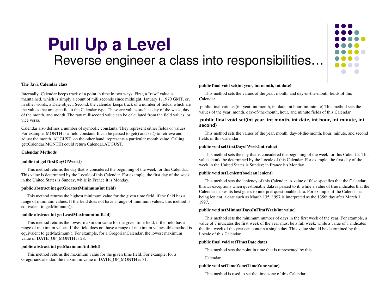#### **Pull Up a Leve lll**Reverse engineer a class into responsibilities...



#### **The Java Calen dar class**

Internally, Calendar keeps track of <sup>a</sup> point in time in two ways. First, <sup>a</sup> "raw" value is maintained, which is simply <sup>a</sup> count of milliseconds since midnight, January 1, 1970 G MT, or, in other words, <sup>a</sup> Date object. Second, the calendar keeps track of <sup>a</sup> number of fields, which are the values that are specific to the Calendar type. These are values such as day of the week, day of the month, and month. The raw millisecond value can be calculated from the field values, or vice versa.

Calendar also defines <sup>a</sup> number of symbolic constants. They represen<sup>t</sup> either fields or values. For example, MONTH is a field constant. It can be passed to get() and set() to retrieve and adjust the month. A U G UST, on the other hand, represents <sup>a</sup> particular month value. Calling get(Calendar.M ONT H) could return Calendar.A UGUST.

#### **Calendar Methods**

#### **p u blic int getFirstDayOfWeek()**

This method returns the day that is considered the beginning of the week for this Calendar. This value is determined by the Locale of this Calendar. For example, the first day of the week in the United States is Sunday, while in France it is Monday.

#### **p u blic abstract int getGreatestMinim u m(int field)**

This method returns the highest minimum value for the given time field, if the field has <sup>a</sup> range of minimum values. If the field does not have <sup>a</sup> range of minimum values, this method is equivalent to getMinimum().

#### **p ublic abstract int getLeastMaxim um(int field)**

This method returns the lowest maximum value for the given time field, if the field has <sup>a</sup> range of maximum values. If the field does not have <sup>a</sup> range of maximum values, this method is equivalent to getMaximum(). For example, for <sup>a</sup> GregorianCalendar, the lowest maximum value of DATE\_OF\_MONTH is 28.

#### **p ublic abstract int getMaxim um(int field)**

This method returns the maximum value for the given time field. For example, for <sup>a</sup> GregorianCalendar, the maximum value of D ATE\_O F\_M ONTH is 31.

#### **p u blic final void set(int year, int month, int date)**

This method sets the values of the year, month, and day-of-the-month fields of this Calendar.

public final void set(int year, int month, int date, int hour, int minute) This method sets the values of the year, month, day-of-the-month, hour, and minute fields of this Calendar.

#### public final void set(int year, int month, int date, int hour, int minute, int I second)

This method sets the values of the year, month, day-of-the-month, hour, minute, and second fields of this Calendar.

#### **p ublic void setFirstDayofWeek(int value)**

This method sets the day that is considered the beginning of the week for this Calendar. This value should be determined by the Locale of this Calendar. For example, the first day of the week in the United States is Sunday; in France it's Monday.

#### **p u blic void setLenient(boolean lenient)**

This method sets the leniency of this Calendar. A value of false specifies that the Calendar throws exceptions when questionable data is passed to it, while <sup>a</sup> value of true indicates that the Calendar makes its best guess to interpret questionable data. For example, if the Calendar is being lenient, <sup>a</sup> date such as March 135, 1997 is interpreted as the 135th day after March 1, 1997.

#### **p ublic void setMinimalDaysIn FirstWeek(int value)**

This method sets the minimum number of days in the first week of the year. For example, <sup>a</sup> value of 7 indicates the first week of the year must be <sup>a</sup> full week, while <sup>a</sup> value of 1 indicates the first week of the year can contain <sup>a</sup> single day. This value should be determined by the Locale of this Calendar.

#### **p ublic final void setTime(Date date)**

This method sets the point in time that is represented by this

Calendar.

#### **p u blic void setTimeZone(TimeZone value)**

This method is used to set the time zone of this Calendar.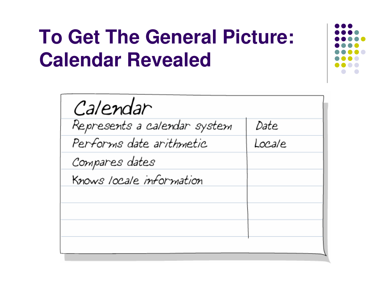## **To Get The General Picture: Calendar Revealed**

| Calendar                     |        |
|------------------------------|--------|
| Represents a calendar system | Date   |
| Performs date arithmetic     | Locale |
| Compares dates               |        |
| Knows locale information     |        |
|                              |        |
|                              |        |
|                              |        |
|                              |        |

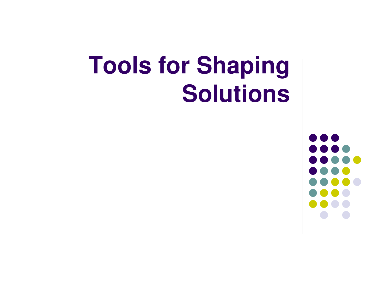#### **Tools for Shap i n g Solutions i**

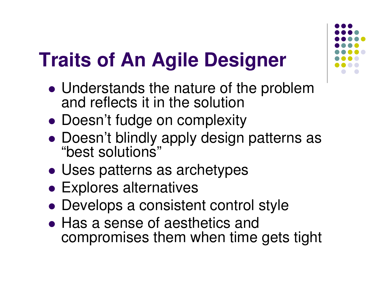## **Traits of An Agile Designer**

- $\bullet$  Understands the nature of the problem and reflects it in the solution
- $\bullet$ • Doesn't fudge on complexity
- $\bullet$  Doesn't blindly apply design patterns as "best solutions"
- $\bullet$ Uses patterns as archetypes
- $\bullet$ Explores alternatives
- $\bullet$ Develops <sup>a</sup> consistent control style
- Has a sense of aesthetics and compromises them when time gets tight

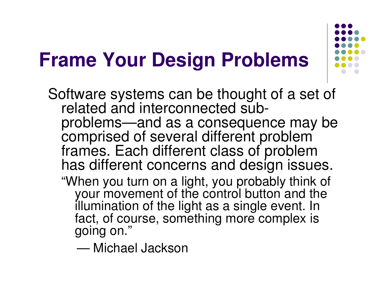#### Frame Your Design Problems **i**

- Software systems can be thought of a set of related and interconnected subp r o ble m s ——and as a consequence may be comprised of several different problem frames. Each different class of problem has different concerns and design issues. "When you turn on a light, you probably think of your movement of the control button and the
	- illumination of the light as a single event. In fact, of course, something more complex is going on."
		- Michael Jackson

"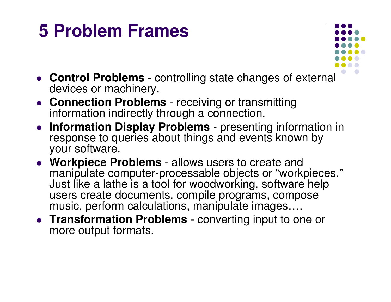### **5 Problem Frames**



- **Control Problems** controlling state changes of external devices or machinery.
- **Connection Problems** receiving or transmitting information indirectly through <sup>a</sup> connection.
- **Information Display Problems** presenting information in response to queries about things and events known by your software.
- **Workpiece Problems** allows users to create and manipulate computer-processable objects or "workpieces." Just like <sup>a</sup> lathe is <sup>a</sup> tool for woodworking, software help users create documents, compile programs, compose music, perform calculations, manipulate images….
- **Transformation Problems** converting input to one or more output formats.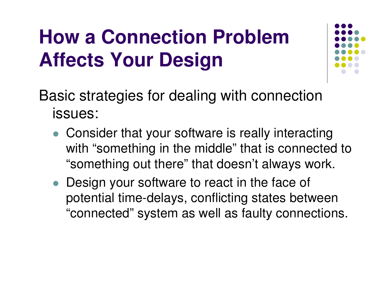## **How a Connection ProblemAffects Your Design**



Basic strategies for dealing with connection issues:

- Consider that your software is really interacting with "something in the middle" that is connected to "something out there" that doesn't always work.
- Design your software to react in the face of potential time-delays, conflicting states between "connected" system as well as faulty connections.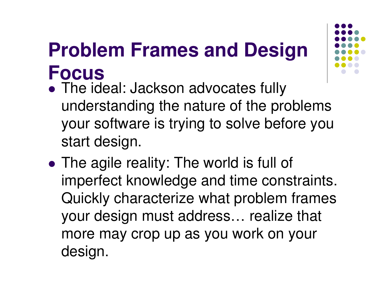## **Problem Frames and Design Focus**

- $\bullet$  The ideal: Jackson advocates fully understanding the nature of the problems your software is trying to solve before you start design.
- $\bullet$  The agile reality: The world is full of imperfect knowledge and time constraints. Quickly characterize what problem frames your design must address… realize that more may crop up as you work on your design.

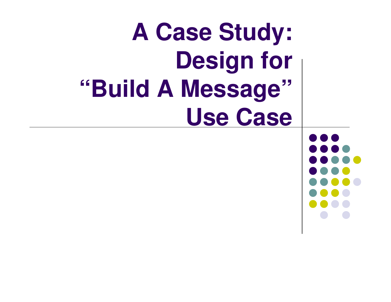#### **A Case Stud y : D e s ig n f o r "**"Build A Message **i"**Use Case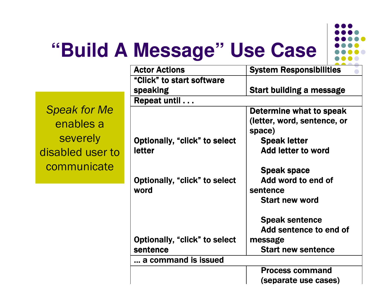

## "Build A Message" Use Case

 $\overline{d}$ 

| <b>Actor Actions</b>          | <b>System Responsibilities</b>                                                                    |  |
|-------------------------------|---------------------------------------------------------------------------------------------------|--|
| "Click" to start software     |                                                                                                   |  |
| <b>speaking</b>               | <b>Start building a message</b>                                                                   |  |
| Repeat until                  |                                                                                                   |  |
|                               | Determine what to speak                                                                           |  |
|                               | (letter, word, sentence, or                                                                       |  |
|                               | space)                                                                                            |  |
| Optionally, "click" to select | <b>Speak letter</b>                                                                               |  |
| <b>letter</b>                 | <b>Add letter to word</b>                                                                         |  |
|                               |                                                                                                   |  |
|                               | <b>Speak space</b>                                                                                |  |
|                               | Add word to end of                                                                                |  |
| word                          | sentence                                                                                          |  |
|                               | <b>Start new word</b>                                                                             |  |
|                               |                                                                                                   |  |
|                               | <b>Speak sentence</b>                                                                             |  |
|                               | Add sentence to end of                                                                            |  |
|                               | message                                                                                           |  |
|                               | <b>Start new sentence</b>                                                                         |  |
|                               |                                                                                                   |  |
|                               | <b>Process command</b>                                                                            |  |
|                               | (separate use cases)                                                                              |  |
|                               | Optionally, "click" to select<br>Optionally, "click" to select<br>sentence<br>a command is issued |  |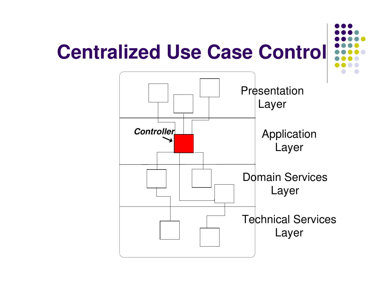# **Centralized Use Case Control**

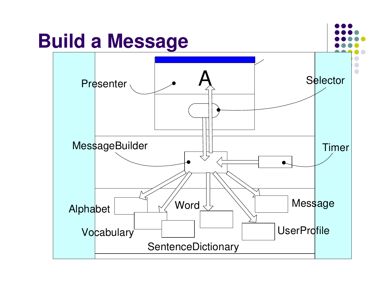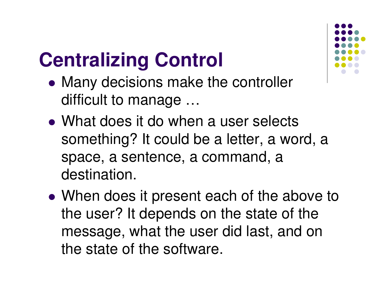# **Centralizing Control**

- $\bullet$  Many decisions make the controller difficult to manage …
- What does it do when a user selects something? It could be <sup>a</sup> letter, <sup>a</sup> word, <sup>a</sup> space, <sup>a</sup> sentence, <sup>a</sup> command, <sup>a</sup> destination.
- $\bullet$  When does it present each of the above to the user? It depends on the state of the message, what the user did last, and on the state of the software.

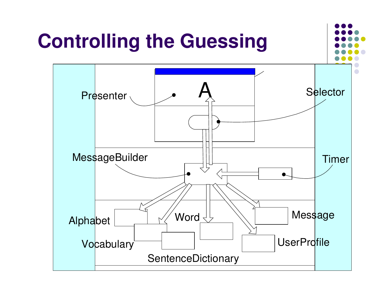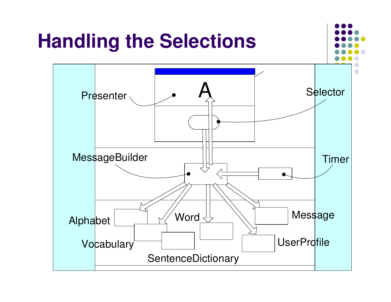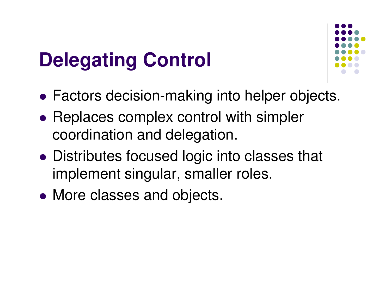## **Delegating Control**



- $\bullet$ Factors decision-making into helper objects.
- $\bullet$ • Replaces complex control with simpler coordination and delegation.
- $\bullet$  Distributes focused logic into classes that implement singular, smaller roles.
- $\bullet$ • More classes and objects.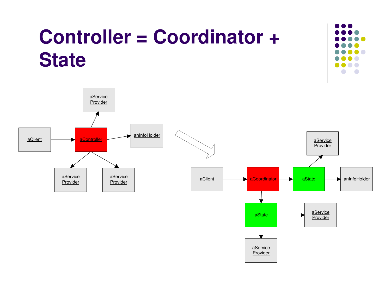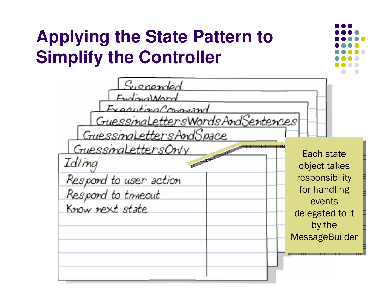### **Applying the State Pattern to Simplify the Controller**

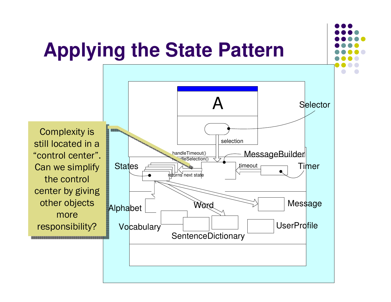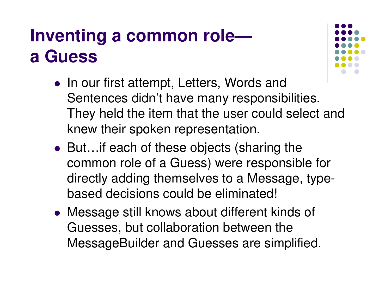### **Inventing <sup>a</sup> common role a Guess**

- In our first attempt, Letters, Words and Sentences didn't have many responsibilities. They held the item that the user could select and knew their spoken representation.
- But…if each of these objects (sharing the common role of <sup>a</sup> Guess) were responsible for directly adding themselves to <sup>a</sup> Message, typebased decisions could be eliminated!
- Message still knows about different kinds of Guesses, but collaboration between the MessageBuilder and Guesses are simplified.

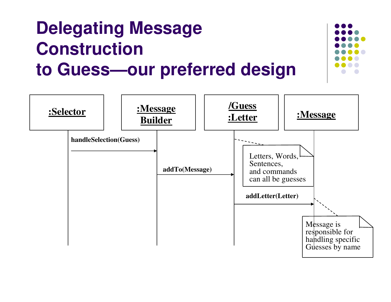### **Delegating Message Construction to Guess—our preferred design**



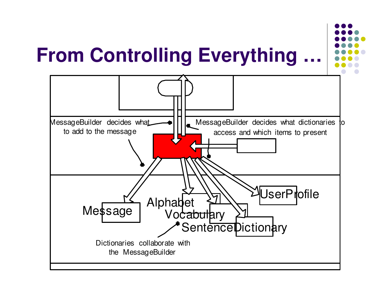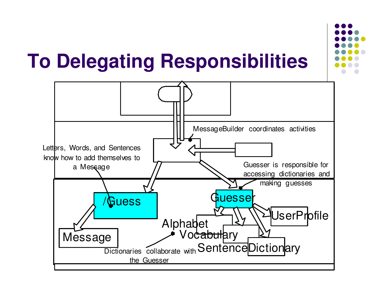## **To Delegating Responsibilities**



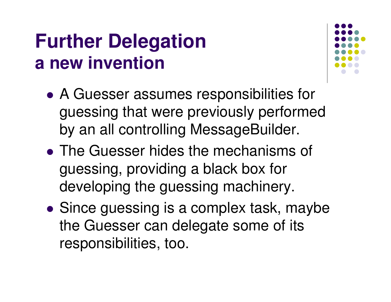### **Further Delegation a new invention**



- $\bullet$  A Guesser assumes responsibilities for guessing that were previously performed by an all controlling MessageBuilder.
- The Guesser hides the mechanisms of guessing, providing <sup>a</sup> black box for developing the guessing machinery.
- $\bullet$ • Since guessing is a complex task, maybe the Guesser can delegate some of its responsibilities, too.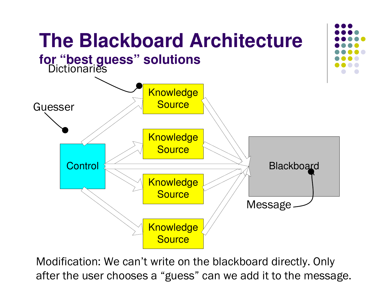

Modification: We can't write on the blackboard directly. Only after the user chooses a "guess" can we add it to the message.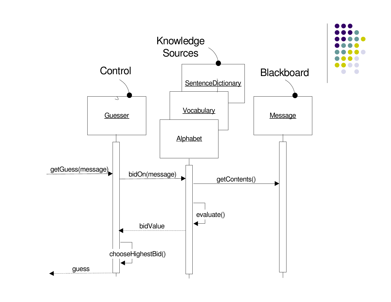

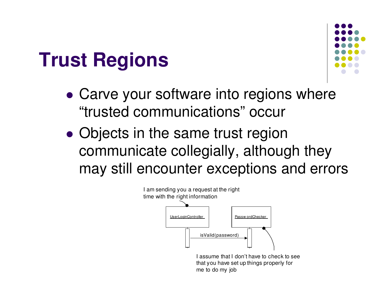## **Trust Regions**



- $\bullet$  Carve your software into regions where "trusted communications" occur
- $\bullet$ • Objects in the same trust region communicate collegially, although they may still encounter exceptions and errors



 assume that I don't have to check to see that you have set up things properly for me to do my job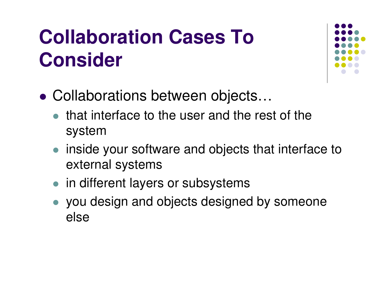## **Collaboration Cases To Consider**



- $\bullet$  Collaborations between objects…
	- $\bullet$  that interface to the user and the rest of the system
	- inside your software and objects that interface to external systems
	- in different layers or subsystems
	- $\bullet$  you design and objects designed by someone else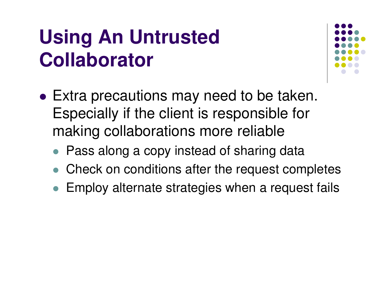## **Using An Untrusted Collaborator**



- $\bullet$  Extra precautions may need to be taken. Especially if the client is responsible for making collaborations more reliable
	- Pass along a copy instead of sharing data
	- $\bullet$ Check on conditions after the request completes
	- $\bullet$ Employ alternate strategies when <sup>a</sup> request fails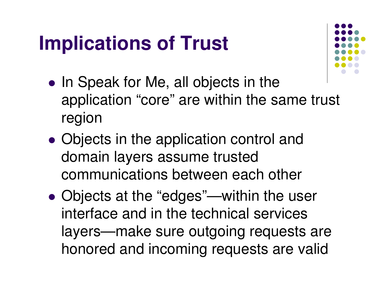## **Implications of Trust**



- $\bullet$ • In Speak for Me, all objects in the application "core" are within the same trust region
- $\bullet$ • Objects in the application control and domain layers assume trusted communications between each other
- $\bullet$  Objects at the "edges"—within the user interface and in the technical services layers—make sure outgoing requests are honored and incoming requests are valid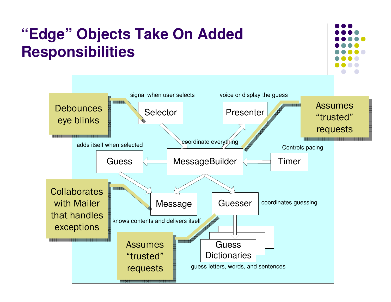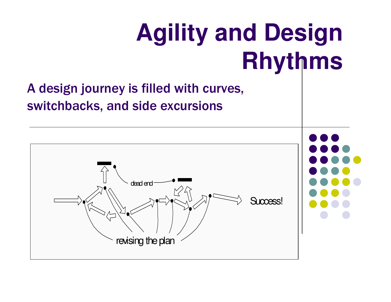# **Agility and Design Rhythms**

### A design journey is filled with curves, switchbacks, and side excursions

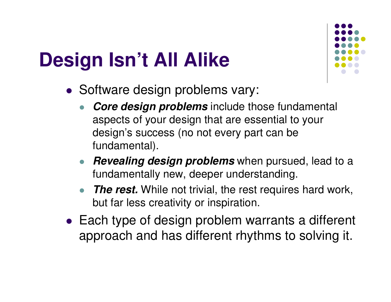## **Design Isn't All Alike**



- Software design problems vary:
	- $\bullet$  *Core design problems* include those fundamental aspects of your design that are essential to your design's success (no not every part can be fundamental).
	- *Revealing design problems* when pursued, lead to <sup>a</sup> fundamentally new, deeper understanding.
	- $\bullet$  *The rest.* While not trivial, the rest requires hard work, but far less creativity or inspiration.
- Each type of design problem warrants a different approach and has different rhythms to solving it.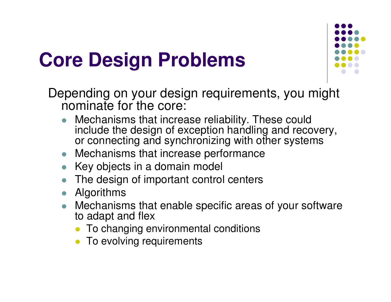## **Core Design Problems**



Depending on your design requirements, you might nominate for the core:

- $\bullet$  Mechanisms that increase reliability. These could include the design of exception handling and recovery, or connecting and synchronizing with other systems
- $\bullet$ Mechanisms that increase performance
- Key objects in a domain model
- $\bullet$ The design of important control centers
- $\bullet$ Algorithms
- $\bullet$  Mechanisms that enable specific areas of your software to adapt and flex
	- To changing environmental conditions
	- To evolving requirements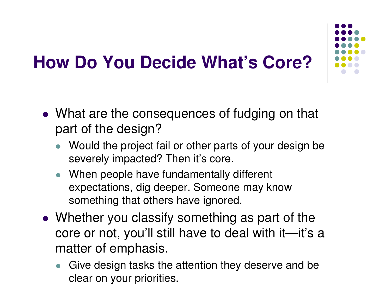### **How Do You Decide What's Core?**

- What are the consequences of fudging on that part of the design?
	- Would the project fail or other parts of your design be severely impacted? Then it's core.
	- When people have fundamentally different expectations, dig deeper. Someone may know something that others have ignored.
- Whether you classify something as part of the core or not, you'll still have to deal with it—it's <sup>a</sup> matter of emphasis.
	- Give design tasks the attention they deserve and be clear on your priorities.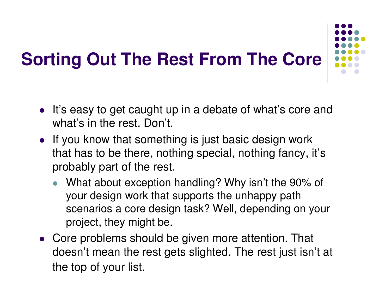### **Sorting Out The Rest From The Core**



- If you know that something is just basic design work that has to be there, nothing special, nothing fancy, it's probably part of the rest.
	- $\bullet$  What about exception handling? Why isn't the 90% of your design work that supports the unhappy path scenarios a core design task? Well, depending on your project, they might be.
- Core problems should be given more attention. That doesn't mean the rest gets slighted. The rest just isn't at the top of your list.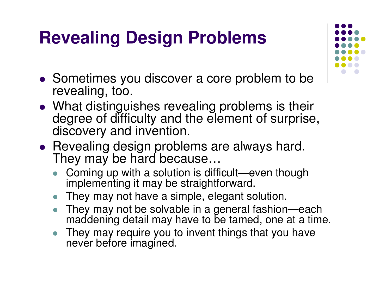### **Revealing Design Problems**

- Sometimes you discover <sup>a</sup> core problem to be revealing, too.
- What distinguishes revealing problems is their degree of difficulty and the element of surprise, discovery and invention.
- Revealing design problems are always hard. They may be hard because...
	- $\bullet$  Coming up with <sup>a</sup> solution is difficult—even though implementing it may be straightforward.
	- They may not have <sup>a</sup> simple, elegant solution.
	- $\bullet$  They may not be solvable in <sup>a</sup> general fashion—each maddening detail may have to be tamed, one at <sup>a</sup> time.
	- $\bullet$  They may require you to invent things that you have never before imagined.

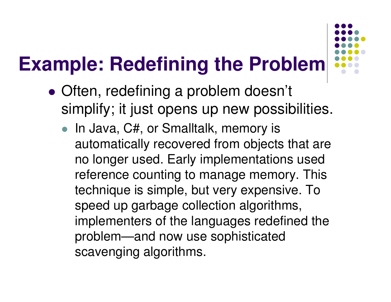## **Example: Redefining the Problem**

- $\bullet$  Often, redefining <sup>a</sup> problem doesn't simplify; it just opens up new possibilities.
	- In Java, C#, or Smalltalk, memory is automatically recovered from objects that are no longer used. Early implementations used reference counting to manage memory. This technique is simple, but very expensive. To speed up garbage collection algorithms, implementers of the languages redefined the problem—and now use sophisticated scavenging algorithms.

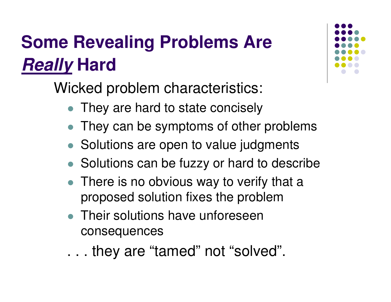### **Some Revealing Problems Are** *Really* **Hard**

Wicked problem characteristics:

- $\bullet$ They are hard to state concisely
- They can be symptoms of other problems
- Solutions are open to value judgments
- Solutions can be fuzzy or hard to describe
- There is no obvious way to verify that a proposed solution fixes the problem
- Their solutions have unforeseen consequences
- . . . they are "tamed" not "solved".

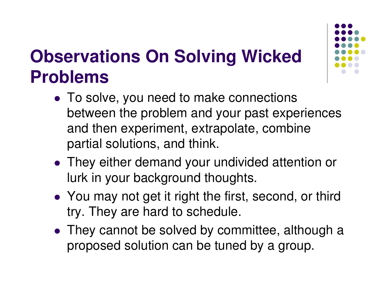### **Observations On Solving Wicked Problems**

- To solve, you need to make connections between the problem and your past experiences and then experiment, extrapolate, combine partial solutions, and think.
- They either demand your undivided attention or lurk in your background thoughts.
- You may not get it right the first, second, or third try. They are hard to schedule.
- They cannot be solved by committee, although <sup>a</sup> proposed solution can be tuned by <sup>a</sup> group.

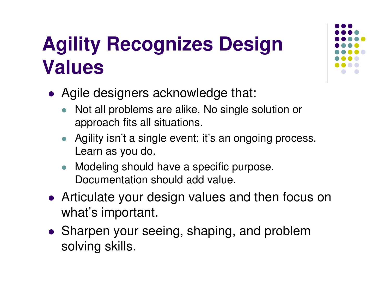## **Agility Recognizes Design Values**

- Agile designers acknowledge that:
	- $\bullet$  Not all problems are alike. No single solution or approach fits all situations.
	- Agility isn't <sup>a</sup> single event; it's an ongoing process. Learn as you do.
	- $\bullet$  Modeling should have <sup>a</sup> specific purpose. Documentation should add value.
- Articulate your design values and then focus on what's important.
- Sharpen your seeing, shaping, and problem solving skills.